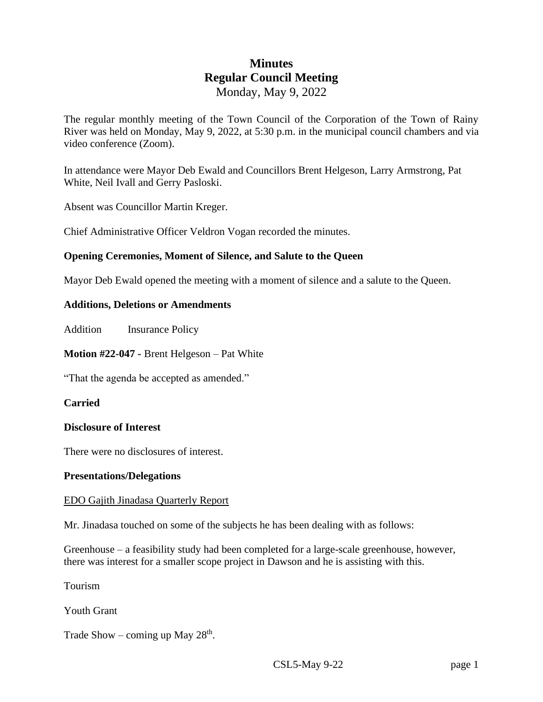# **Minutes Regular Council Meeting** Monday, May 9, 2022

The regular monthly meeting of the Town Council of the Corporation of the Town of Rainy River was held on Monday, May 9, 2022, at 5:30 p.m. in the municipal council chambers and via video conference (Zoom).

In attendance were Mayor Deb Ewald and Councillors Brent Helgeson, Larry Armstrong, Pat White, Neil Ivall and Gerry Pasloski.

Absent was Councillor Martin Kreger.

Chief Administrative Officer Veldron Vogan recorded the minutes.

## **Opening Ceremonies, Moment of Silence, and Salute to the Queen**

Mayor Deb Ewald opened the meeting with a moment of silence and a salute to the Queen.

### **Additions, Deletions or Amendments**

Addition Insurance Policy

**Motion #22-047 -** Brent Helgeson – Pat White

"That the agenda be accepted as amended."

### **Carried**

### **Disclosure of Interest**

There were no disclosures of interest.

### **Presentations/Delegations**

### EDO Gajith Jinadasa Quarterly Report

Mr. Jinadasa touched on some of the subjects he has been dealing with as follows:

Greenhouse – a feasibility study had been completed for a large-scale greenhouse, however, there was interest for a smaller scope project in Dawson and he is assisting with this.

Tourism

Youth Grant

Trade Show – coming up May  $28<sup>th</sup>$ .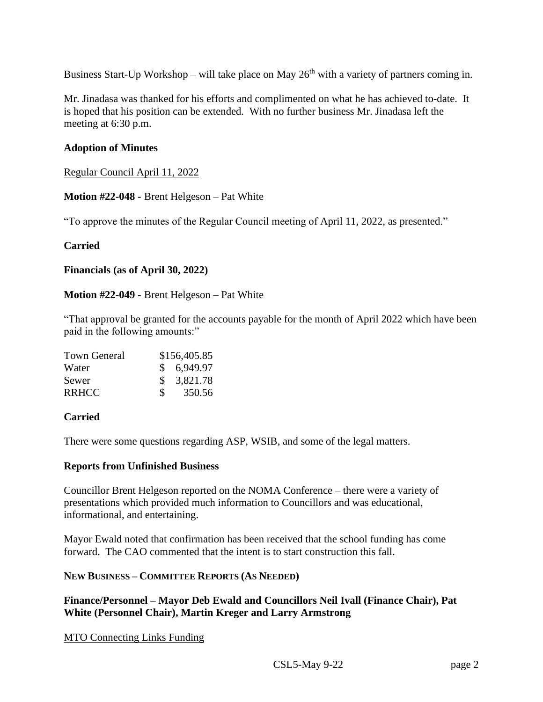Business Start-Up Workshop – will take place on May  $26<sup>th</sup>$  with a variety of partners coming in.

Mr. Jinadasa was thanked for his efforts and complimented on what he has achieved to-date. It is hoped that his position can be extended. With no further business Mr. Jinadasa left the meeting at 6:30 p.m.

## **Adoption of Minutes**

Regular Council April 11, 2022

**Motion #22-048 -** Brent Helgeson – Pat White

"To approve the minutes of the Regular Council meeting of April 11, 2022, as presented."

### **Carried**

**Financials (as of April 30, 2022)**

**Motion #22-049 -** Brent Helgeson – Pat White

"That approval be granted for the accounts payable for the month of April 2022 which have been paid in the following amounts:"

| <b>Town General</b> | \$156,405.85  |            |
|---------------------|---------------|------------|
| Water               |               | \$6,949.97 |
| Sewer               |               | \$3,821.78 |
| <b>RRHCC</b>        | $\mathcal{S}$ | 350.56     |

### **Carried**

There were some questions regarding ASP, WSIB, and some of the legal matters.

### **Reports from Unfinished Business**

Councillor Brent Helgeson reported on the NOMA Conference – there were a variety of presentations which provided much information to Councillors and was educational, informational, and entertaining.

Mayor Ewald noted that confirmation has been received that the school funding has come forward. The CAO commented that the intent is to start construction this fall.

### **NEW BUSINESS – COMMITTEE REPORTS (AS NEEDED)**

**Finance/Personnel – Mayor Deb Ewald and Councillors Neil Ivall (Finance Chair), Pat White (Personnel Chair), Martin Kreger and Larry Armstrong**

MTO Connecting Links Funding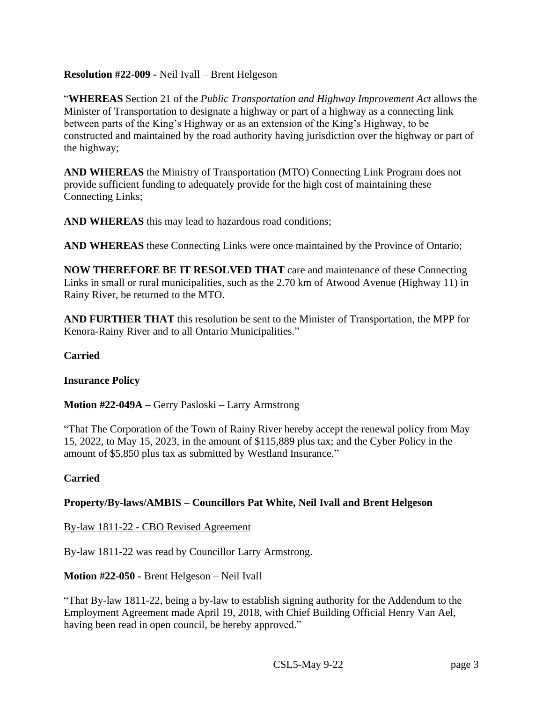## **Resolution #22-009 -** Neil Ivall – Brent Helgeson

"**WHEREAS** Section 21 of the *Public Transportation and Highway Improvement Act* allows the Minister of Transportation to designate a highway or part of a highway as a connecting link between parts of the King's Highway or as an extension of the King's Highway, to be constructed and maintained by the road authority having jurisdiction over the highway or part of the highway;

**AND WHEREAS** the Ministry of Transportation (MTO) Connecting Link Program does not provide sufficient funding to adequately provide for the high cost of maintaining these Connecting Links;

**AND WHEREAS** this may lead to hazardous road conditions;

**AND WHEREAS** these Connecting Links were once maintained by the Province of Ontario;

**NOW THEREFORE BE IT RESOLVED THAT** care and maintenance of these Connecting Links in small or rural municipalities, such as the 2.70 km of Atwood Avenue (Highway 11) in Rainy River, be returned to the MTO.

**AND FURTHER THAT** this resolution be sent to the Minister of Transportation, the MPP for Kenora-Rainy River and to all Ontario Municipalities."

### **Carried**

### **Insurance Policy**

**Motion #22-049A** – Gerry Pasloski – Larry Armstrong

"That The Corporation of the Town of Rainy River hereby accept the renewal policy from May 15, 2022, to May 15, 2023, in the amount of \$115,889 plus tax; and the Cyber Policy in the amount of \$5,850 plus tax as submitted by Westland Insurance."

### **Carried**

### **Property/By-laws/AMBIS – Councillors Pat White, Neil Ivall and Brent Helgeson**

By-law 1811-22 - CBO Revised Agreement

By-law 1811-22 was read by Councillor Larry Armstrong.

### **Motion #22-050 -** Brent Helgeson – Neil Ivall

"That By-law 1811-22, being a by-law to establish signing authority for the Addendum to the Employment Agreement made April 19, 2018, with Chief Building Official Henry Van Ael, having been read in open council, be hereby approved."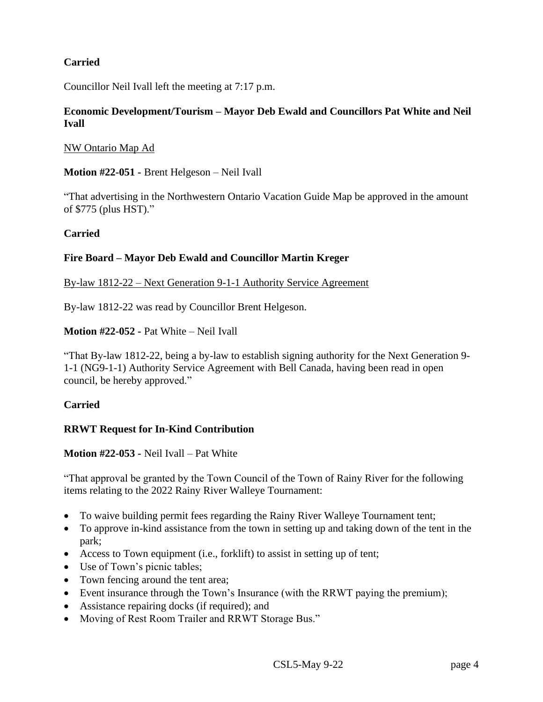## **Carried**

Councillor Neil Ivall left the meeting at 7:17 p.m.

## **Economic Development/Tourism – Mayor Deb Ewald and Councillors Pat White and Neil Ivall**

NW Ontario Map Ad

**Motion #22-051 -** Brent Helgeson – Neil Ivall

"That advertising in the Northwestern Ontario Vacation Guide Map be approved in the amount of \$775 (plus HST)."

### **Carried**

### **Fire Board – Mayor Deb Ewald and Councillor Martin Kreger**

### By-law 1812-22 – Next Generation 9-1-1 Authority Service Agreement

By-law 1812-22 was read by Councillor Brent Helgeson.

### **Motion #22-052 -** Pat White – Neil Ivall

"That By-law 1812-22, being a by-law to establish signing authority for the Next Generation 9- 1-1 (NG9-1-1) Authority Service Agreement with Bell Canada, having been read in open council, be hereby approved."

### **Carried**

### **RRWT Request for In-Kind Contribution**

**Motion #22-053 -** Neil Ivall – Pat White

"That approval be granted by the Town Council of the Town of Rainy River for the following items relating to the 2022 Rainy River Walleye Tournament:

- To waive building permit fees regarding the Rainy River Walleye Tournament tent;
- To approve in-kind assistance from the town in setting up and taking down of the tent in the park;
- Access to Town equipment (i.e., forklift) to assist in setting up of tent;
- Use of Town's picnic tables;
- Town fencing around the tent area;
- Event insurance through the Town's Insurance (with the RRWT paying the premium);
- Assistance repairing docks (if required); and
- Moving of Rest Room Trailer and RRWT Storage Bus."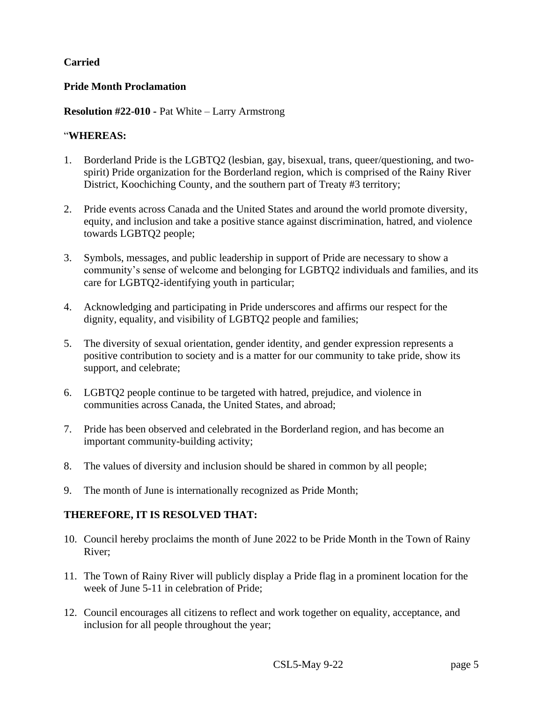## **Carried**

### **Pride Month Proclamation**

### **Resolution #22-010 -** Pat White – Larry Armstrong

### "**WHEREAS:**

- 1. Borderland Pride is the LGBTQ2 (lesbian, gay, bisexual, trans, queer/questioning, and twospirit) Pride organization for the Borderland region, which is comprised of the Rainy River District, Koochiching County, and the southern part of Treaty #3 territory;
- 2. Pride events across Canada and the United States and around the world promote diversity, equity, and inclusion and take a positive stance against discrimination, hatred, and violence towards LGBTQ2 people;
- 3. Symbols, messages, and public leadership in support of Pride are necessary to show a community's sense of welcome and belonging for LGBTQ2 individuals and families, and its care for LGBTQ2-identifying youth in particular;
- 4. Acknowledging and participating in Pride underscores and affirms our respect for the dignity, equality, and visibility of LGBTQ2 people and families;
- 5. The diversity of sexual orientation, gender identity, and gender expression represents a positive contribution to society and is a matter for our community to take pride, show its support, and celebrate;
- 6. LGBTQ2 people continue to be targeted with hatred, prejudice, and violence in communities across Canada, the United States, and abroad;
- 7. Pride has been observed and celebrated in the Borderland region, and has become an important community-building activity;
- 8. The values of diversity and inclusion should be shared in common by all people;
- 9. The month of June is internationally recognized as Pride Month;

### **THEREFORE, IT IS RESOLVED THAT:**

- 10. Council hereby proclaims the month of June 2022 to be Pride Month in the Town of Rainy River;
- 11. The Town of Rainy River will publicly display a Pride flag in a prominent location for the week of June 5-11 in celebration of Pride;
- 12. Council encourages all citizens to reflect and work together on equality, acceptance, and inclusion for all people throughout the year;